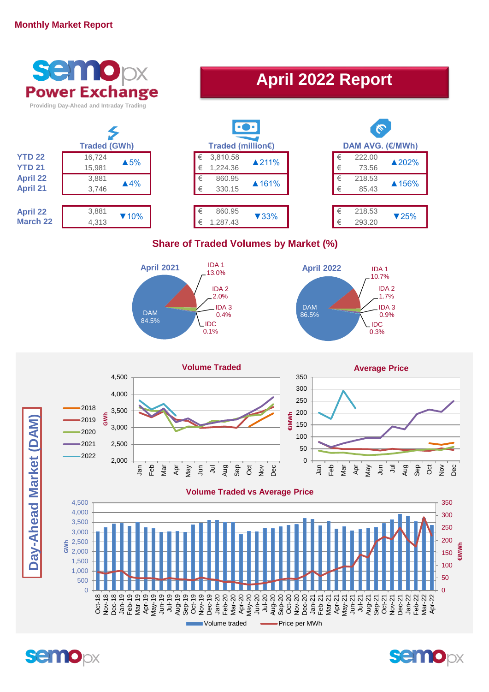## **Monthly Market Report**